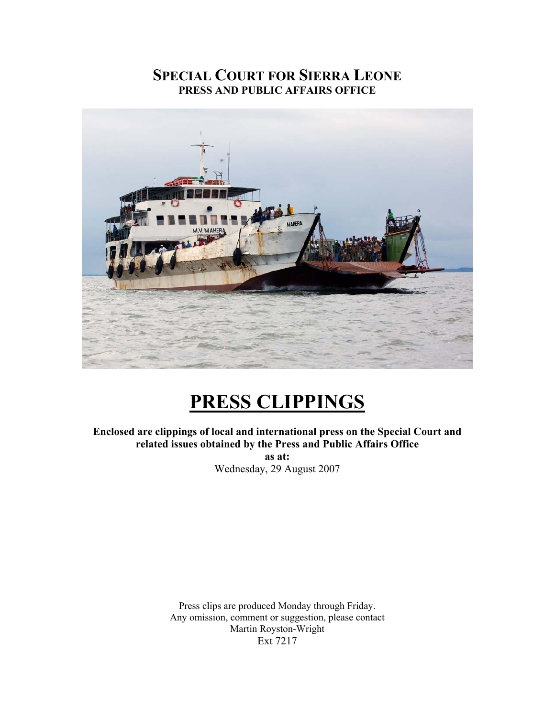# **SPECIAL COURT FOR SIERRA LEONE PRESS AND PUBLIC AFFAIRS OFFICE**



# **PRESS CLIPPINGS**

**Enclosed are clippings of local and international press on the Special Court and related issues obtained by the Press and Public Affairs Office as at:**  Wednesday, 29 August 2007

> Press clips are produced Monday through Friday. Any omission, comment or suggestion, please contact Martin Royston-Wright Ext 7217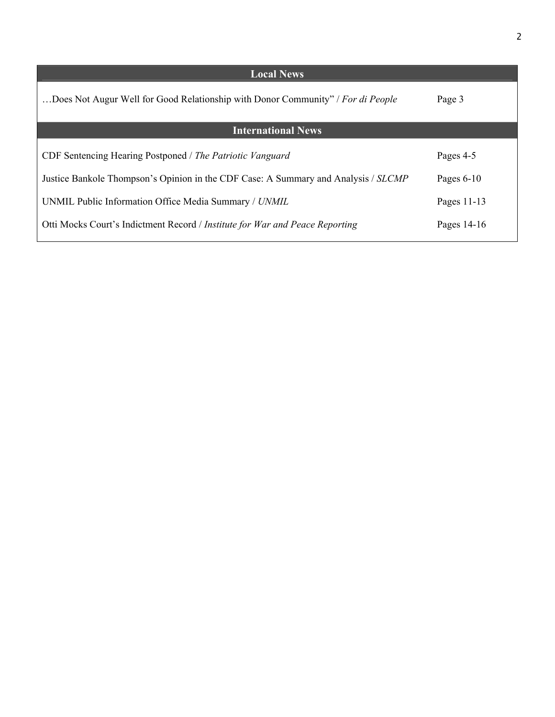| <b>Local News</b>                                                                  |              |
|------------------------------------------------------------------------------------|--------------|
| Does Not Augur Well for Good Relationship with Donor Community" / For di People    | Page 3       |
| <b>International News</b>                                                          |              |
| CDF Sentencing Hearing Postponed / The Patriotic Vanguard                          | Pages 4-5    |
| Justice Bankole Thompson's Opinion in the CDF Case: A Summary and Analysis / SLCMP | Pages $6-10$ |
| UNMIL Public Information Office Media Summary / UNMIL                              | Pages 11-13  |
| Otti Mocks Court's Indictment Record / Institute for War and Peace Reporting       | Pages 14-16  |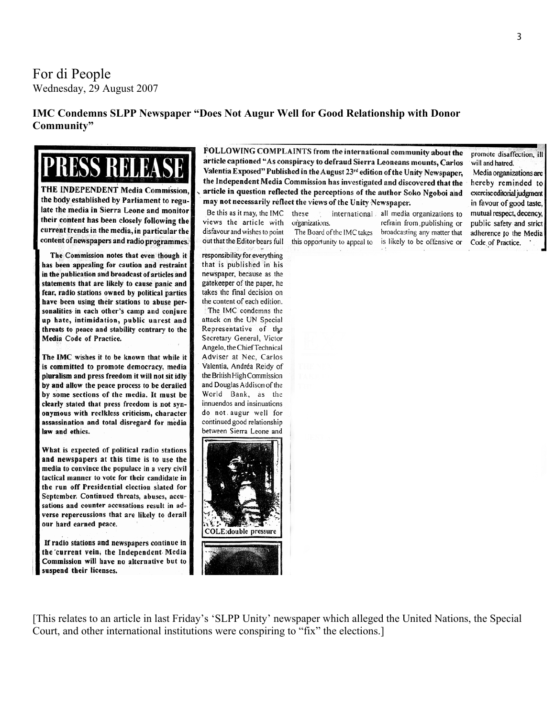For di People Wednesday, 29 August 2007

### **IMC Condemns SLPP Newspaper "Does Not Augur Well for Good Relationship with Donor Community"**

RENA

THE INDEPENDENT Media Commission, the body established by Parliament to regulate the media in Sierra Leone and monitor their content has been closely following the current trends in the media, in particular the content of newspapers and radio programmes.

The Commission notes that even though it has been appealing for caution and restraint in the publication and broadcast of articles and statements that are likely to cause panic and fear, radio stations owned by political parties have been using their stations to abuse personalities in each other's camp and conjure up hate, intimidation, public unrest and threats to peace and stability contrary to the Media Code of Practice.

The IMC wishes it to be known that while it is committed to promote democracy, media pluralism and press freedom it will not sit idly by and allow the peace process to be derailed by some sections of the media. It must be clearly stated that press freedom is not synonymous with reclkless criticism, character assassination and total disregard for media law and ethics.

What is expected of political radio stations and newspapers at this time is to use the media to convince the populace in a very civil tactical manner to vote for their candidate in the run off Presidential election slated for September. Continued threats, abuses, accusations and counter accusations result in adverse repercussions that are likely to derail our hard earned peace.

If radio stations and newspapers continue in the current vein, the Independent Media Commission will have no alternative but to suspend their licenses.

FOLLOWING COMPLAINTS from the international community about the article captioned "As conspiracy to defraud Sierra Leoneans mounts, Carlos Valentia Exposed" Published in the August 23rd edition of the Unity Newspaper, the Independent Media Commission has investigated and discovered that the article in question reflected the perceptions of the author Soko Ngoboi and may not necessarily reflect the views of the Unity Newspaper.

Be this as it may, the IMC views the article with disfavour and wishes to point out that the Editor bears full

responsibility for everything that is published in his newspaper, because as the gatekeeper of the paper, he takes the final decision on the content of each edition.

The IMC condemns the attack on the UN Special Representative of the Secretary General, Victor Angelo, the Chief Technical Adviser at Nec, Carlos Valentia, Andréa Reidy of the British High Commission and Douglas Addison of the World Bank, as the innuendos and insinuations do not augur well for continued good relationship between Sierra Leone and



organizations. The Board of the IMC takes

these

this opportunity to appeal to

international all media organizations to refrain from publishing or broadcasting any matter that is likely to be offensive or

promote disaffection, ill will and hatred. Media organizations are hereby reminded to

exercise editorial judgment in favour of good taste, mutual respect, decency, public safety and strict adherence to the Media Code of Practice.

[This relates to an article in last Friday's 'SLPP Unity' newspaper which alleged the United Nations, the Special Court, and other international institutions were conspiring to "fix" the elections.]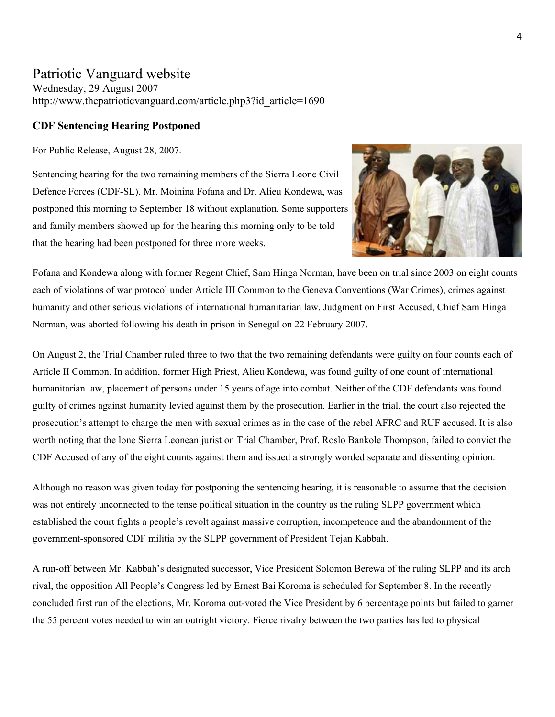### Patriotic Vanguard website

Wednesday, 29 August 2007 [http://www.thepatrioticvanguard.com/article.php3?id\\_article=1690](http://www.thepatrioticvanguard.com/article.php3?id_article=1690)

### **CDF Sentencing Hearing Postponed**

For Public Release, August 28, 2007.

Sentencing hearing for the two remaining members of the Sierra Leone Civil Defence Forces (CDF-SL), Mr. Moinina Fofana and Dr. Alieu Kondewa, was postponed this morning to September 18 without explanation. Some supporters and family members showed up for the hearing this morning only to be told that the hearing had been postponed for three more weeks.



Fofana and Kondewa along with former Regent Chief, Sam Hinga Norman, have been on trial since 2003 on eight counts each of violations of war protocol under Article III Common to the Geneva Conventions (War Crimes), crimes against humanity and other serious violations of international humanitarian law. Judgment on First Accused, Chief Sam Hinga Norman, was aborted following his death in prison in Senegal on 22 February 2007.

On August 2, the Trial Chamber ruled three to two that the two remaining defendants were guilty on four counts each of Article II Common. In addition, former High Priest, Alieu Kondewa, was found guilty of one count of international humanitarian law, placement of persons under 15 years of age into combat. Neither of the CDF defendants was found guilty of crimes against humanity levied against them by the prosecution. Earlier in the trial, the court also rejected the prosecution's attempt to charge the men with sexual crimes as in the case of the rebel AFRC and RUF accused. It is also worth noting that the lone Sierra Leonean jurist on Trial Chamber, Prof. Roslo Bankole Thompson, failed to convict the CDF Accused of any of the eight counts against them and issued a strongly worded separate and dissenting opinion.

Although no reason was given today for postponing the sentencing hearing, it is reasonable to assume that the decision was not entirely unconnected to the tense political situation in the country as the ruling SLPP government which established the court fights a people's revolt against massive corruption, incompetence and the abandonment of the government-sponsored CDF militia by the SLPP government of President Tejan Kabbah.

A run-off between Mr. Kabbah's designated successor, Vice President Solomon Berewa of the ruling SLPP and its arch rival, the opposition All People's Congress led by Ernest Bai Koroma is scheduled for September 8. In the recently concluded first run of the elections, Mr. Koroma out-voted the Vice President by 6 percentage points but failed to garner the 55 percent votes needed to win an outright victory. Fierce rivalry between the two parties has led to physical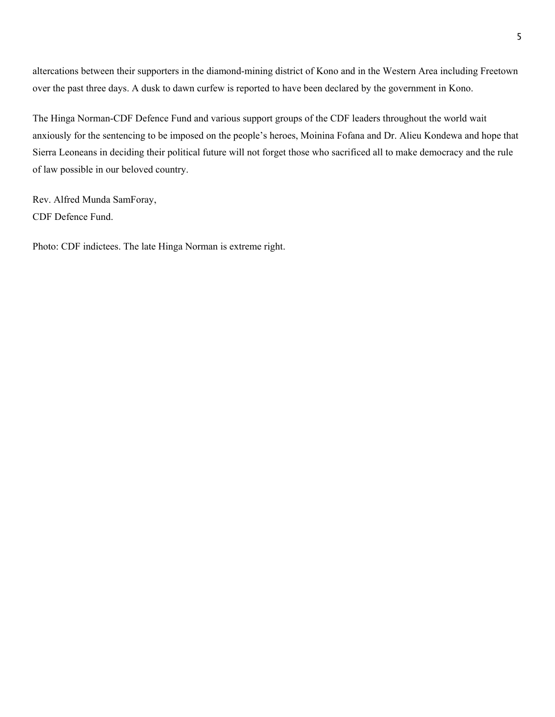altercations between their supporters in the diamond-mining district of Kono and in the Western Area including Freetown over the past three days. A dusk to dawn curfew is reported to have been declared by the government in Kono.

The Hinga Norman-CDF Defence Fund and various support groups of the CDF leaders throughout the world wait anxiously for the sentencing to be imposed on the people's heroes, Moinina Fofana and Dr. Alieu Kondewa and hope that Sierra Leoneans in deciding their political future will not forget those who sacrificed all to make democracy and the rule of law possible in our beloved country.

Rev. Alfred Munda SamForay, CDF Defence Fund.

Photo: CDF indictees. The late Hinga Norman is extreme right.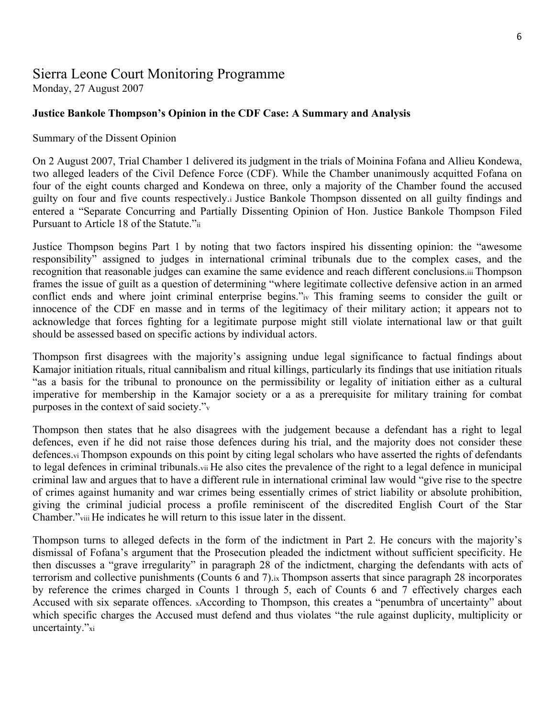# Sierra Leone Court Monitoring Programme

Monday, 27 August 2007

### **Justice Bankole Thompson's Opinion in the CDF Case: A Summary and Analysis**

### Summary of the Dissent Opinion

On 2 August 2007, Trial Chamber 1 delivered its judgment in the trials of Moinina Fofana and Allieu Kondewa, two alleged leaders of the Civil Defence Force (CDF). While the Chamber unanimously acquitted Fofana on four of the eight counts charged and Kondewa on three, only a majority of the Chamber found the accused guilty on four and five counts respectively.i Justice Bankole Thompson dissented on all guilty findings and entered a "Separate Concurring and Partially Dissenting Opinion of Hon. Justice Bankole Thompson Filed Pursuant to Article 18 of the Statute."ii

Justice Thompson begins Part 1 by noting that two factors inspired his dissenting opinion: the "awesome responsibility" assigned to judges in international criminal tribunals due to the complex cases, and the recognition that reasonable judges can examine the same evidence and reach different conclusions.iii Thompson frames the issue of guilt as a question of determining "where legitimate collective defensive action in an armed conflict ends and where joint criminal enterprise begins."iv This framing seems to consider the guilt or innocence of the CDF en masse and in terms of the legitimacy of their military action; it appears not to acknowledge that forces fighting for a legitimate purpose might still violate international law or that guilt should be assessed based on specific actions by individual actors.

Thompson first disagrees with the majority's assigning undue legal significance to factual findings about Kamajor initiation rituals, ritual cannibalism and ritual killings, particularly its findings that use initiation rituals "as a basis for the tribunal to pronounce on the permissibility or legality of initiation either as a cultural imperative for membership in the Kamajor society or a as a prerequisite for military training for combat purposes in the context of said society."v

Thompson then states that he also disagrees with the judgement because a defendant has a right to legal defences, even if he did not raise those defences during his trial, and the majority does not consider these defences.vi Thompson expounds on this point by citing legal scholars who have asserted the rights of defendants to legal defences in criminal tribunals.vii He also cites the prevalence of the right to a legal defence in municipal criminal law and argues that to have a different rule in international criminal law would "give rise to the spectre of crimes against humanity and war crimes being essentially crimes of strict liability or absolute prohibition, giving the criminal judicial process a profile reminiscent of the discredited English Court of the Star Chamber."viii He indicates he will return to this issue later in the dissent.

Thompson turns to alleged defects in the form of the indictment in Part 2. He concurs with the majority's dismissal of Fofana's argument that the Prosecution pleaded the indictment without sufficient specificity. He then discusses a "grave irregularity" in paragraph 28 of the indictment, charging the defendants with acts of terrorism and collective punishments (Counts 6 and 7).ix Thompson asserts that since paragraph 28 incorporates by reference the crimes charged in Counts 1 through 5, each of Counts 6 and 7 effectively charges each Accused with six separate offences. xAccording to Thompson, this creates a "penumbra of uncertainty" about which specific charges the Accused must defend and thus violates "the rule against duplicity, multiplicity or uncertainty."xi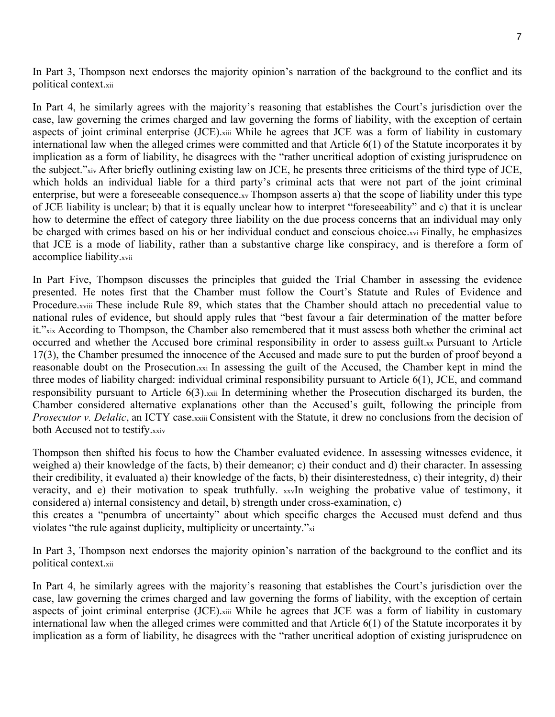In Part 3, Thompson next endorses the majority opinion's narration of the background to the conflict and its political context.xii

In Part 4, he similarly agrees with the majority's reasoning that establishes the Court's jurisdiction over the case, law governing the crimes charged and law governing the forms of liability, with the exception of certain aspects of joint criminal enterprise (JCE).xiii While he agrees that JCE was a form of liability in customary international law when the alleged crimes were committed and that Article 6(1) of the Statute incorporates it by implication as a form of liability, he disagrees with the "rather uncritical adoption of existing jurisprudence on the subject."xiv After briefly outlining existing law on JCE, he presents three criticisms of the third type of JCE, which holds an individual liable for a third party's criminal acts that were not part of the joint criminal enterprise, but were a foreseeable consequence.xv Thompson asserts a) that the scope of liability under this type of JCE liability is unclear; b) that it is equally unclear how to interpret "foreseeability" and c) that it is unclear how to determine the effect of category three liability on the due process concerns that an individual may only be charged with crimes based on his or her individual conduct and conscious choice.xvi Finally, he emphasizes that JCE is a mode of liability, rather than a substantive charge like conspiracy, and is therefore a form of accomplice liability.xvii

In Part Five, Thompson discusses the principles that guided the Trial Chamber in assessing the evidence presented. He notes first that the Chamber must follow the Court's Statute and Rules of Evidence and Procedure.xviii These include Rule 89, which states that the Chamber should attach no precedential value to national rules of evidence, but should apply rules that "best favour a fair determination of the matter before it."xix According to Thompson, the Chamber also remembered that it must assess both whether the criminal act occurred and whether the Accused bore criminal responsibility in order to assess guilt.xx Pursuant to Article 17(3), the Chamber presumed the innocence of the Accused and made sure to put the burden of proof beyond a reasonable doubt on the Prosecution.xxi In assessing the guilt of the Accused, the Chamber kept in mind the three modes of liability charged: individual criminal responsibility pursuant to Article 6(1), JCE, and command responsibility pursuant to Article 6(3).xxii In determining whether the Prosecution discharged its burden, the Chamber considered alternative explanations other than the Accused's guilt, following the principle from *Prosecutor v. Delalic*, an ICTY case.xxiii Consistent with the Statute, it drew no conclusions from the decision of both Accused not to testify.xxiv

Thompson then shifted his focus to how the Chamber evaluated evidence. In assessing witnesses evidence, it weighed a) their knowledge of the facts, b) their demeanor; c) their conduct and d) their character. In assessing their credibility, it evaluated a) their knowledge of the facts, b) their disinterestedness, c) their integrity, d) their veracity, and e) their motivation to speak truthfully. xxvIn weighing the probative value of testimony, it considered a) internal consistency and detail, b) strength under cross-examination, c)

this creates a "penumbra of uncertainty" about which specific charges the Accused must defend and thus violates "the rule against duplicity, multiplicity or uncertainty."xi

In Part 3, Thompson next endorses the majority opinion's narration of the background to the conflict and its political context.xii

In Part 4, he similarly agrees with the majority's reasoning that establishes the Court's jurisdiction over the case, law governing the crimes charged and law governing the forms of liability, with the exception of certain aspects of joint criminal enterprise (JCE).xiii While he agrees that JCE was a form of liability in customary international law when the alleged crimes were committed and that Article 6(1) of the Statute incorporates it by implication as a form of liability, he disagrees with the "rather uncritical adoption of existing jurisprudence on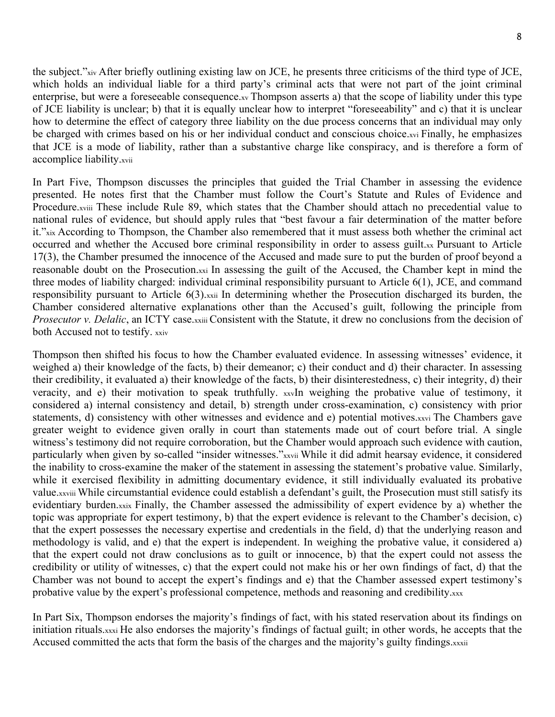the subject."xiv After briefly outlining existing law on JCE, he presents three criticisms of the third type of JCE, which holds an individual liable for a third party's criminal acts that were not part of the joint criminal enterprise, but were a foreseeable consequence.xv Thompson asserts a) that the scope of liability under this type of JCE liability is unclear; b) that it is equally unclear how to interpret "foreseeability" and c) that it is unclear how to determine the effect of category three liability on the due process concerns that an individual may only be charged with crimes based on his or her individual conduct and conscious choice.xvi Finally, he emphasizes that JCE is a mode of liability, rather than a substantive charge like conspiracy, and is therefore a form of accomplice liability.xvii

In Part Five, Thompson discusses the principles that guided the Trial Chamber in assessing the evidence presented. He notes first that the Chamber must follow the Court's Statute and Rules of Evidence and Procedure.xviii These include Rule 89, which states that the Chamber should attach no precedential value to national rules of evidence, but should apply rules that "best favour a fair determination of the matter before it."xix According to Thompson, the Chamber also remembered that it must assess both whether the criminal act occurred and whether the Accused bore criminal responsibility in order to assess guilt.xx Pursuant to Article 17(3), the Chamber presumed the innocence of the Accused and made sure to put the burden of proof beyond a reasonable doubt on the Prosecution.xxi In assessing the guilt of the Accused, the Chamber kept in mind the three modes of liability charged: individual criminal responsibility pursuant to Article 6(1), JCE, and command responsibility pursuant to Article 6(3).xxii In determining whether the Prosecution discharged its burden, the Chamber considered alternative explanations other than the Accused's guilt, following the principle from *Prosecutor v. Delalic*, an ICTY case.xxiii Consistent with the Statute, it drew no conclusions from the decision of both Accused not to testify. xxiv

Thompson then shifted his focus to how the Chamber evaluated evidence. In assessing witnesses' evidence, it weighed a) their knowledge of the facts, b) their demeanor; c) their conduct and d) their character. In assessing their credibility, it evaluated a) their knowledge of the facts, b) their disinterestedness, c) their integrity, d) their veracity, and e) their motivation to speak truthfully. xxvIn weighing the probative value of testimony, it considered a) internal consistency and detail, b) strength under cross-examination, c) consistency with prior statements, d) consistency with other witnesses and evidence and e) potential motives.xxvi The Chambers gave greater weight to evidence given orally in court than statements made out of court before trial. A single witness's testimony did not require corroboration, but the Chamber would approach such evidence with caution, particularly when given by so-called "insider witnesses."xxvii While it did admit hearsay evidence, it considered the inability to cross-examine the maker of the statement in assessing the statement's probative value. Similarly, while it exercised flexibility in admitting documentary evidence, it still individually evaluated its probative value.xxviii While circumstantial evidence could establish a defendant's guilt, the Prosecution must still satisfy its evidentiary burden.xxix Finally, the Chamber assessed the admissibility of expert evidence by a) whether the topic was appropriate for expert testimony, b) that the expert evidence is relevant to the Chamber's decision, c) that the expert possesses the necessary expertise and credentials in the field, d) that the underlying reason and methodology is valid, and e) that the expert is independent. In weighing the probative value, it considered a) that the expert could not draw conclusions as to guilt or innocence, b) that the expert could not assess the credibility or utility of witnesses, c) that the expert could not make his or her own findings of fact, d) that the Chamber was not bound to accept the expert's findings and e) that the Chamber assessed expert testimony's probative value by the expert's professional competence, methods and reasoning and credibility.xxx

In Part Six, Thompson endorses the majority's findings of fact, with his stated reservation about its findings on initiation rituals.xxxi He also endorses the majority's findings of factual guilt; in other words, he accepts that the Accused committed the acts that form the basis of the charges and the majority's guilty findings.xxxii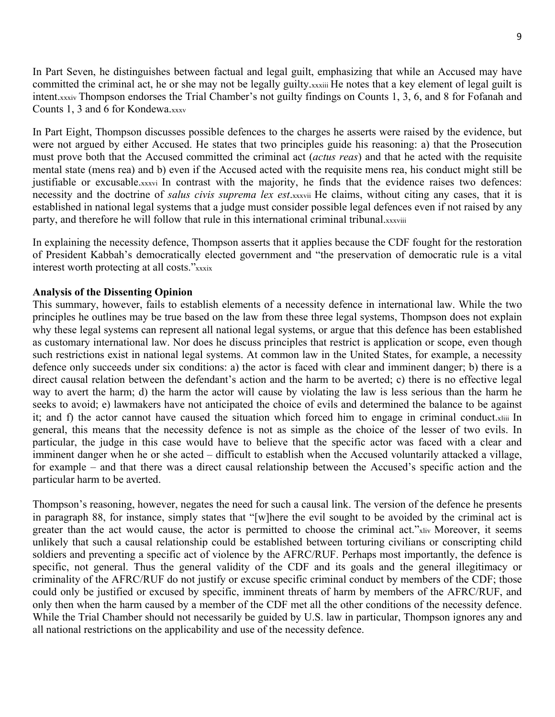In Part Seven, he distinguishes between factual and legal guilt, emphasizing that while an Accused may have committed the criminal act, he or she may not be legally guilty.xxxiii He notes that a key element of legal guilt is intent.xxxiv Thompson endorses the Trial Chamber's not guilty findings on Counts 1, 3, 6, and 8 for Fofanah and Counts 1, 3 and 6 for Kondewa.xxxv

In Part Eight, Thompson discusses possible defences to the charges he asserts were raised by the evidence, but were not argued by either Accused. He states that two principles guide his reasoning: a) that the Prosecution must prove both that the Accused committed the criminal act (*actus reas*) and that he acted with the requisite mental state (mens rea) and b) even if the Accused acted with the requisite mens rea, his conduct might still be justifiable or excusable.xxxvi In contrast with the majority, he finds that the evidence raises two defences: necessity and the doctrine of *salus civis suprema lex est*.xxxvii He claims, without citing any cases, that it is established in national legal systems that a judge must consider possible legal defences even if not raised by any party, and therefore he will follow that rule in this international criminal tribunal.xxxviii

In explaining the necessity defence, Thompson asserts that it applies because the CDF fought for the restoration of President Kabbah's democratically elected government and "the preservation of democratic rule is a vital interest worth protecting at all costs."xxxix

### **Analysis of the Dissenting Opinion**

This summary, however, fails to establish elements of a necessity defence in international law. While the two principles he outlines may be true based on the law from these three legal systems, Thompson does not explain why these legal systems can represent all national legal systems, or argue that this defence has been established as customary international law. Nor does he discuss principles that restrict is application or scope, even though such restrictions exist in national legal systems. At common law in the United States, for example, a necessity defence only succeeds under six conditions: a) the actor is faced with clear and imminent danger; b) there is a direct causal relation between the defendant's action and the harm to be averted; c) there is no effective legal way to avert the harm; d) the harm the actor will cause by violating the law is less serious than the harm he seeks to avoid; e) lawmakers have not anticipated the choice of evils and determined the balance to be against it; and f) the actor cannot have caused the situation which forced him to engage in criminal conduct.xliii In general, this means that the necessity defence is not as simple as the choice of the lesser of two evils. In particular, the judge in this case would have to believe that the specific actor was faced with a clear and imminent danger when he or she acted – difficult to establish when the Accused voluntarily attacked a village, for example – and that there was a direct causal relationship between the Accused's specific action and the particular harm to be averted.

Thompson's reasoning, however, negates the need for such a causal link. The version of the defence he presents in paragraph 88, for instance, simply states that "[w]here the evil sought to be avoided by the criminal act is greater than the act would cause, the actor is permitted to choose the criminal act."xliv Moreover, it seems unlikely that such a causal relationship could be established between torturing civilians or conscripting child soldiers and preventing a specific act of violence by the AFRC/RUF. Perhaps most importantly, the defence is specific, not general. Thus the general validity of the CDF and its goals and the general illegitimacy or criminality of the AFRC/RUF do not justify or excuse specific criminal conduct by members of the CDF; those could only be justified or excused by specific, imminent threats of harm by members of the AFRC/RUF, and only then when the harm caused by a member of the CDF met all the other conditions of the necessity defence. While the Trial Chamber should not necessarily be guided by U.S. law in particular, Thompson ignores any and all national restrictions on the applicability and use of the necessity defence.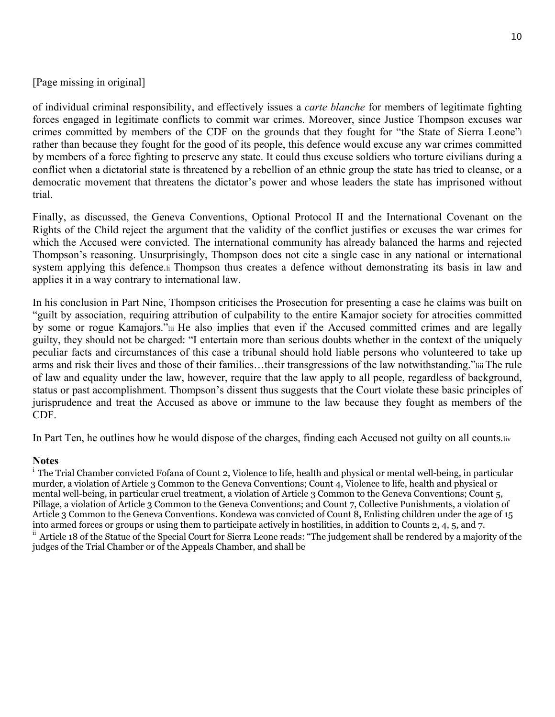[Page missing in original]

of individual criminal responsibility, and effectively issues a *carte blanche* for members of legitimate fighting forces engaged in legitimate conflicts to commit war crimes. Moreover, since Justice Thompson excuses war crimes committed by members of the CDF on the grounds that they fought for "the State of Sierra Leone"l rather than because they fought for the good of its people, this defence would excuse any war crimes committed by members of a force fighting to preserve any state. It could thus excuse soldiers who torture civilians during a conflict when a dictatorial state is threatened by a rebellion of an ethnic group the state has tried to cleanse, or a democratic movement that threatens the dictator's power and whose leaders the state has imprisoned without trial.

Finally, as discussed, the Geneva Conventions, Optional Protocol II and the International Covenant on the Rights of the Child reject the argument that the validity of the conflict justifies or excuses the war crimes for which the Accused were convicted. The international community has already balanced the harms and rejected Thompson's reasoning. Unsurprisingly, Thompson does not cite a single case in any national or international system applying this defence. I Thompson thus creates a defence without demonstrating its basis in law and applies it in a way contrary to international law.

In his conclusion in Part Nine, Thompson criticises the Prosecution for presenting a case he claims was built on "guilt by association, requiring attribution of culpability to the entire Kamajor society for atrocities committed by some or rogue Kamajors."lii He also implies that even if the Accused committed crimes and are legally guilty, they should not be charged: "I entertain more than serious doubts whether in the context of the uniquely peculiar facts and circumstances of this case a tribunal should hold liable persons who volunteered to take up arms and risk their lives and those of their families…their transgressions of the law notwithstanding."liii The rule of law and equality under the law, however, require that the law apply to all people, regardless of background, status or past accomplishment. Thompson's dissent thus suggests that the Court violate these basic principles of jurisprudence and treat the Accused as above or immune to the law because they fought as members of the CDF.

In Part Ten, he outlines how he would dispose of the charges, finding each Accused not guilty on all counts.liv

### **Notes**

<sup>i</sup> The Trial Chamber convicted Fofana of Count 2, Violence to life, health and physical or mental well-being, in particular murder, a violation of Article 3 Common to the Geneva Conventions; Count 4, Violence to life, health and physical or mental well-being, in particular cruel treatment, a violation of Article 3 Common to the Geneva Conventions; Count 5, Pillage, a violation of Article 3 Common to the Geneva Conventions; and Count 7, Collective Punishments, a violation of Article 3 Common to the Geneva Conventions. Kondewa was convicted of Count 8, Enlisting children under the age of 15 into armed forces or groups or using them to participate actively in hostilities, in addition to Counts 2, 4, 5, and 7. <sup>ii</sup> Article 18 of the Statue of the Special Court for Sierra Leone reads: "The judgement shall be rendered by a majority of the judges of the Trial Chamber or of the Appeals Chamber, and shall be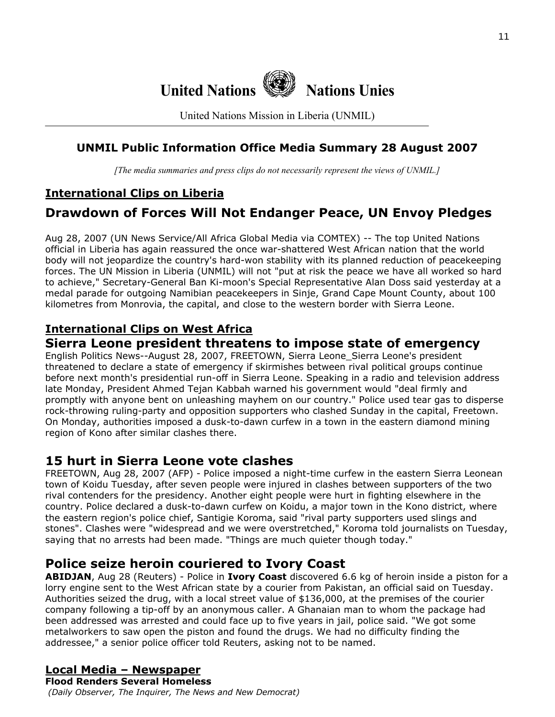

United Nations Mission in Liberia (UNMIL)

### **UNMIL Public Information Office Media Summary 28 August 2007**

*[The media summaries and press clips do not necessarily represent the views of UNMIL.]*

### **International Clips on Liberia**

# **Drawdown of Forces Will Not Endanger Peace, UN Envoy Pledges**

Aug 28, 2007 (UN News Service/All Africa Global Media via COMTEX) -- The top United Nations official in Liberia has again reassured the once war-shattered West African nation that the world body will not jeopardize the country's hard-won stability with its planned reduction of peacekeeping forces. The UN Mission in Liberia (UNMIL) will not "put at risk the peace we have all worked so hard to achieve," Secretary-General Ban Ki-moon's Special Representative Alan Doss said yesterday at a medal parade for outgoing Namibian peacekeepers in Sinje, Grand Cape Mount County, about 100 kilometres from Monrovia, the capital, and close to the western border with Sierra Leone.

### **International Clips on West Africa**

### **Sierra Leone president threatens to impose state of emergency**

English Politics News--August 28, 2007, FREETOWN, Sierra Leone Sierra Leone's president threatened to declare a state of emergency if skirmishes between rival political groups continue before next month's presidential run-off in Sierra Leone. Speaking in a radio and television address late Monday, President Ahmed Tejan Kabbah warned his government would "deal firmly and promptly with anyone bent on unleashing mayhem on our country." Police used tear gas to disperse rock-throwing ruling-party and opposition supporters who clashed Sunday in the capital, Freetown. On Monday, authorities imposed a dusk-to-dawn curfew in a town in the eastern diamond mining region of Kono after similar clashes there.

### **15 hurt in Sierra Leone vote clashes**

FREETOWN, Aug 28, 2007 (AFP) - Police imposed a night-time curfew in the eastern Sierra Leonean town of Koidu Tuesday, after seven people were injured in clashes between supporters of the two rival contenders for the presidency. Another eight people were hurt in fighting elsewhere in the country. Police declared a dusk-to-dawn curfew on Koidu, a major town in the Kono district, where the eastern region's police chief, Santigie Koroma, said "rival party supporters used slings and stones". Clashes were "widespread and we were overstretched," Koroma told journalists on Tuesday, saying that no arrests had been made. "Things are much quieter though today."

### **Police seize heroin couriered to Ivory Coast**

**ABIDJAN**, Aug 28 (Reuters) - Police in **Ivory Coast** discovered 6.6 kg of heroin inside a piston for a lorry engine sent to the West African state by a courier from Pakistan, an official said on Tuesday. Authorities seized the drug, with a local street value of \$136,000, at the premises of the courier company following a tip-off by an anonymous caller. A Ghanaian man to whom the package had been addressed was arrested and could face up to five years in jail, police said. "We got some metalworkers to saw open the piston and found the drugs. We had no difficulty finding the addressee," a senior police officer told Reuters, asking not to be named.

### **Local Media – Newspaper**

**Flood Renders Several Homeless**   *(Daily Observer, The Inquirer, The News and New Democrat)*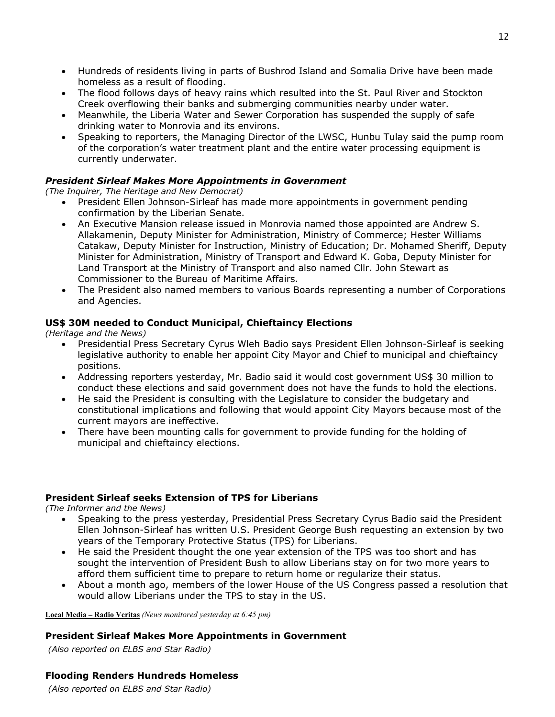- Hundreds of residents living in parts of Bushrod Island and Somalia Drive have been made homeless as a result of flooding.
- The flood follows days of heavy rains which resulted into the St. Paul River and Stockton Creek overflowing their banks and submerging communities nearby under water.
- Meanwhile, the Liberia Water and Sewer Corporation has suspended the supply of safe drinking water to Monrovia and its environs.
- Speaking to reporters, the Managing Director of the LWSC, Hunbu Tulay said the pump room of the corporation's water treatment plant and the entire water processing equipment is currently underwater.

### *President Sirleaf Makes More Appointments in Government*

*(The Inquirer, The Heritage and New Democrat)*

- President Ellen Johnson-Sirleaf has made more appointments in government pending confirmation by the Liberian Senate.
- An Executive Mansion release issued in Monrovia named those appointed are Andrew S. Allakamenin, Deputy Minister for Administration, Ministry of Commerce; Hester Williams Catakaw, Deputy Minister for Instruction, Ministry of Education; Dr. Mohamed Sheriff, Deputy Minister for Administration, Ministry of Transport and Edward K. Goba, Deputy Minister for Land Transport at the Ministry of Transport and also named Cllr. John Stewart as Commissioner to the Bureau of Maritime Affairs.
- The President also named members to various Boards representing a number of Corporations and Agencies.

### **US\$ 30M needed to Conduct Municipal, Chieftaincy Elections**

*(Heritage and the News)*

- Presidential Press Secretary Cyrus Wleh Badio says President Ellen Johnson-Sirleaf is seeking legislative authority to enable her appoint City Mayor and Chief to municipal and chieftaincy positions.
- Addressing reporters yesterday, Mr. Badio said it would cost government US\$ 30 million to conduct these elections and said government does not have the funds to hold the elections.
- He said the President is consulting with the Legislature to consider the budgetary and constitutional implications and following that would appoint City Mayors because most of the current mayors are ineffective.
- There have been mounting calls for government to provide funding for the holding of municipal and chieftaincy elections.

### **President Sirleaf seeks Extension of TPS for Liberians**

*(The Informer and the News)*

- Speaking to the press yesterday, Presidential Press Secretary Cyrus Badio said the President Ellen Johnson-Sirleaf has written U.S. President George Bush requesting an extension by two years of the Temporary Protective Status (TPS) for Liberians.
- He said the President thought the one year extension of the TPS was too short and has sought the intervention of President Bush to allow Liberians stay on for two more years to afford them sufficient time to prepare to return home or regularize their status.
- About a month ago, members of the lower House of the US Congress passed a resolution that would allow Liberians under the TPS to stay in the US.

**Local Media – Radio Veritas** *(News monitored yesterday at 6:45 pm)* 

#### **President Sirleaf Makes More Appointments in Government**

 *(Also reported on ELBS and Star Radio)*

### **Flooding Renders Hundreds Homeless**

 *(Also reported on ELBS and Star Radio)*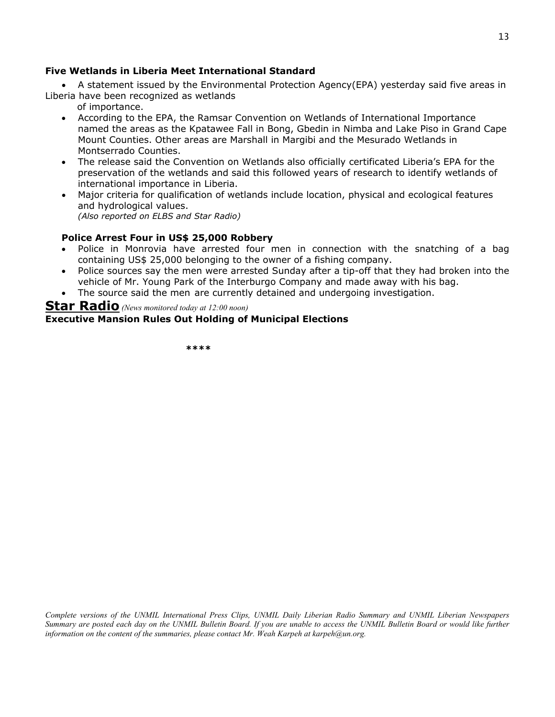#### **Five Wetlands in Liberia Meet International Standard**

• A statement issued by the Environmental Protection Agency(EPA) yesterday said five areas in Liberia have been recognized as wetlands

of importance.

- According to the EPA, the Ramsar Convention on Wetlands of International Importance named the areas as the Kpatawee Fall in Bong, Gbedin in Nimba and Lake Piso in Grand Cape Mount Counties. Other areas are Marshall in Margibi and the Mesurado Wetlands in Montserrado Counties.
- The release said the Convention on Wetlands also officially certificated Liberia's EPA for the preservation of the wetlands and said this followed years of research to identify wetlands of international importance in Liberia.
- Major criteria for qualification of wetlands include location, physical and ecological features and hydrological values.

*(Also reported on ELBS and Star Radio)*

#### **Police Arrest Four in US\$ 25,000 Robbery**

- Police in Monrovia have arrested four men in connection with the snatching of a bag containing US\$ 25,000 belonging to the owner of a fishing company.
- Police sources say the men were arrested Sunday after a tip-off that they had broken into the vehicle of Mr. Young Park of the Interburgo Company and made away with his bag.
- The source said the men are currently detained and undergoing investigation.

### **Star Radio** *(News monitored today at 12:00 noon)*  **Executive Mansion Rules Out Holding of Municipal Elections**

 **\*\*\*\*** 

*Complete versions of the UNMIL International Press Clips, UNMIL Daily Liberian Radio Summary and UNMIL Liberian Newspapers Summary are posted each day on the UNMIL Bulletin Board. If you are unable to access the UNMIL Bulletin Board or would like further information on the content of the summaries, please contact Mr. Weah Karpeh at karpeh@un.org.*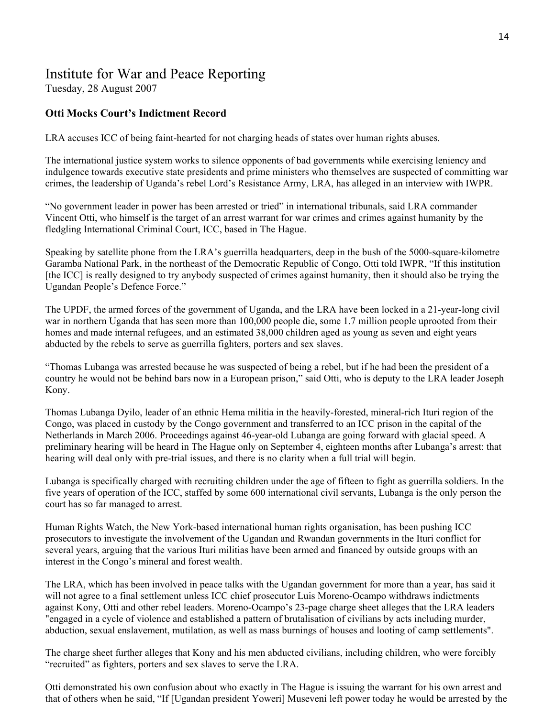# Institute for War and Peace Reporting

Tuesday, 28 August 2007

### **Otti Mocks Court's Indictment Record**

LRA accuses ICC of being faint-hearted for not charging heads of states over human rights abuses.

The international justice system works to silence opponents of bad governments while exercising leniency and indulgence towards executive state presidents and prime ministers who themselves are suspected of committing war crimes, the leadership of Uganda's rebel Lord's Resistance Army, LRA, has alleged in an interview with IWPR.

"No government leader in power has been arrested or tried" in international tribunals, said LRA commander Vincent Otti, who himself is the target of an arrest warrant for war crimes and crimes against humanity by the fledgling International Criminal Court, ICC, based in The Hague.

Speaking by satellite phone from the LRA's guerrilla headquarters, deep in the bush of the 5000-square-kilometre Garamba National Park, in the northeast of the Democratic Republic of Congo, Otti told IWPR, "If this institution [the ICC] is really designed to try anybody suspected of crimes against humanity, then it should also be trying the Ugandan People's Defence Force."

The UPDF, the armed forces of the government of Uganda, and the LRA have been locked in a 21-year-long civil war in northern Uganda that has seen more than 100,000 people die, some 1.7 million people uprooted from their homes and made internal refugees, and an estimated 38,000 children aged as young as seven and eight years abducted by the rebels to serve as guerrilla fighters, porters and sex slaves.

"Thomas Lubanga was arrested because he was suspected of being a rebel, but if he had been the president of a country he would not be behind bars now in a European prison," said Otti, who is deputy to the LRA leader Joseph Kony.

Thomas Lubanga Dyilo, leader of an ethnic Hema militia in the heavily-forested, mineral-rich Ituri region of the Congo, was placed in custody by the Congo government and transferred to an ICC prison in the capital of the Netherlands in March 2006. Proceedings against 46-year-old Lubanga are going forward with glacial speed. A preliminary hearing will be heard in The Hague only on September 4, eighteen months after Lubanga's arrest: that hearing will deal only with pre-trial issues, and there is no clarity when a full trial will begin.

Lubanga is specifically charged with recruiting children under the age of fifteen to fight as guerrilla soldiers. In the five years of operation of the ICC, staffed by some 600 international civil servants, Lubanga is the only person the court has so far managed to arrest.

Human Rights Watch, the New York-based international human rights organisation, has been pushing ICC prosecutors to investigate the involvement of the Ugandan and Rwandan governments in the Ituri conflict for several years, arguing that the various Ituri militias have been armed and financed by outside groups with an interest in the Congo's mineral and forest wealth.

The LRA, which has been involved in peace talks with the Ugandan government for more than a year, has said it will not agree to a final settlement unless ICC chief prosecutor Luis Moreno-Ocampo withdraws indictments against Kony, Otti and other rebel leaders. Moreno-Ocampo's 23-page charge sheet alleges that the LRA leaders "engaged in a cycle of violence and established a pattern of brutalisation of civilians by acts including murder, abduction, sexual enslavement, mutilation, as well as mass burnings of houses and looting of camp settlements".

The charge sheet further alleges that Kony and his men abducted civilians, including children, who were forcibly "recruited" as fighters, porters and sex slaves to serve the LRA.

Otti demonstrated his own confusion about who exactly in The Hague is issuing the warrant for his own arrest and that of others when he said, "If [Ugandan president Yoweri] Museveni left power today he would be arrested by the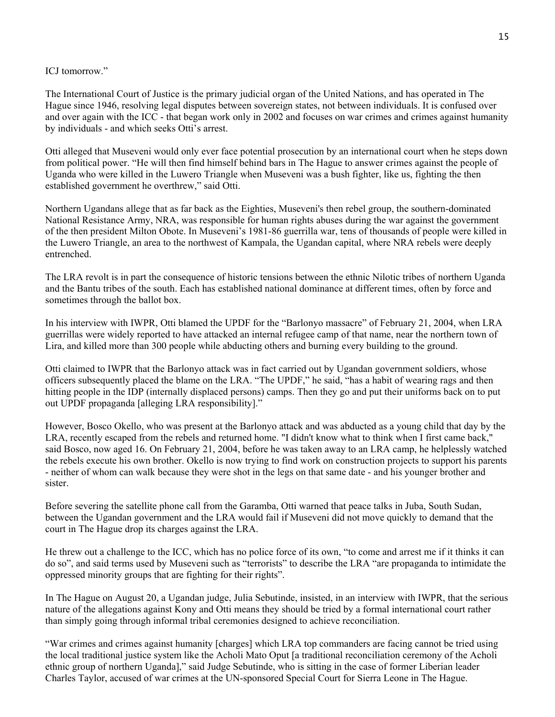ICJ tomorrow."

The International Court of Justice is the primary judicial organ of the United Nations, and has operated in The Hague since 1946, resolving legal disputes between sovereign states, not between individuals. It is confused over and over again with the ICC - that began work only in 2002 and focuses on war crimes and crimes against humanity by individuals - and which seeks Otti's arrest.

Otti alleged that Museveni would only ever face potential prosecution by an international court when he steps down from political power. "He will then find himself behind bars in The Hague to answer crimes against the people of Uganda who were killed in the Luwero Triangle when Museveni was a bush fighter, like us, fighting the then established government he overthrew," said Otti.

Northern Ugandans allege that as far back as the Eighties, Museveni's then rebel group, the southern-dominated National Resistance Army, NRA, was responsible for human rights abuses during the war against the government of the then president Milton Obote. In Museveni's 1981-86 guerrilla war, tens of thousands of people were killed in the Luwero Triangle, an area to the northwest of Kampala, the Ugandan capital, where NRA rebels were deeply entrenched.

The LRA revolt is in part the consequence of historic tensions between the ethnic Nilotic tribes of northern Uganda and the Bantu tribes of the south. Each has established national dominance at different times, often by force and sometimes through the ballot box.

In his interview with IWPR, Otti blamed the UPDF for the "Barlonyo massacre" of February 21, 2004, when LRA guerrillas were widely reported to have attacked an internal refugee camp of that name, near the northern town of Lira, and killed more than 300 people while abducting others and burning every building to the ground.

Otti claimed to IWPR that the Barlonyo attack was in fact carried out by Ugandan government soldiers, whose officers subsequently placed the blame on the LRA. "The UPDF," he said, "has a habit of wearing rags and then hitting people in the IDP (internally displaced persons) camps. Then they go and put their uniforms back on to put out UPDF propaganda [alleging LRA responsibility]."

However, Bosco Okello, who was present at the Barlonyo attack and was abducted as a young child that day by the LRA, recently escaped from the rebels and returned home. "I didn't know what to think when I first came back," said Bosco, now aged 16. On February 21, 2004, before he was taken away to an LRA camp, he helplessly watched the rebels execute his own brother. Okello is now trying to find work on construction projects to support his parents - neither of whom can walk because they were shot in the legs on that same date - and his younger brother and sister.

Before severing the satellite phone call from the Garamba, Otti warned that peace talks in Juba, South Sudan, between the Ugandan government and the LRA would fail if Museveni did not move quickly to demand that the court in The Hague drop its charges against the LRA.

He threw out a challenge to the ICC, which has no police force of its own, "to come and arrest me if it thinks it can do so", and said terms used by Museveni such as "terrorists" to describe the LRA "are propaganda to intimidate the oppressed minority groups that are fighting for their rights".

In The Hague on August 20, a Ugandan judge, Julia Sebutinde, insisted, in an interview with IWPR, that the serious nature of the allegations against Kony and Otti means they should be tried by a formal international court rather than simply going through informal tribal ceremonies designed to achieve reconciliation.

"War crimes and crimes against humanity [charges] which LRA top commanders are facing cannot be tried using the local traditional justice system like the Acholi Mato Oput [a traditional reconciliation ceremony of the Acholi ethnic group of northern Uganda]," said Judge Sebutinde, who is sitting in the case of former Liberian leader Charles Taylor, accused of war crimes at the UN-sponsored Special Court for Sierra Leone in The Hague.